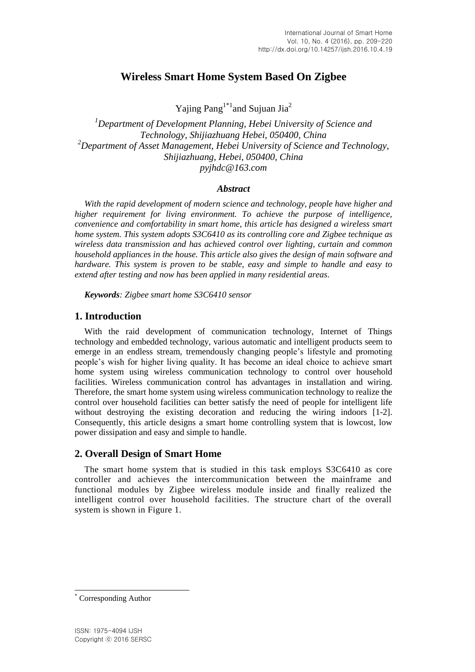# **Wireless Smart Home System Based On Zigbee**

Yajing  $Pang^{1*1}$ and Sujuan Jia<sup>2</sup>

*<sup>1</sup>Department of Development Planning, Hebei University of Science and Technology, Shijiazhuang Hebei, 050400, China <sup>2</sup>Department of Asset Management, Hebei University of Science and Technology, Shijiazhuang, Hebei, 050400, China pyjhdc@163.com*

### *Abstract*

*With the rapid development of modern science and technology, people have higher and higher requirement for living environment. To achieve the purpose of intelligence, convenience and comfortability in smart home, this article has designed a wireless smart home system. This system adopts S3C6410 as its controlling core and Zigbee technique as wireless data transmission and has achieved control over lighting, curtain and common household appliances in the house. This article also gives the design of main software and hardware. This system is proven to be stable, easy and simple to handle and easy to extend after testing and now has been applied in many residential areas.*

*Keywords: Zigbee smart home S3C6410 sensor*

### **1. Introduction**

With the raid development of communication technology, Internet of Things technology and embedded technology, various automatic and intelligent products seem to emerge in an endless stream, tremendously changing people's lifestyle and promoting people's wish for higher living quality. It has become an ideal choice to achieve smart home system using wireless communication technology to control over household facilities. Wireless communication control has advantages in installation and wiring. Therefore, the smart home system using wireless communication technology to realize the control over household facilities can better satisfy the need of people for intelligent life without destroying the existing decoration and reducing the wiring indoors [1-2]. Consequently, this article designs a smart home controlling system that is lowcost, low power dissipation and easy and simple to handle.

### **2. Overall Design of Smart Home**

The smart home system that is studied in this task employs S3C6410 as core controller and achieves the intercommunication between the mainframe and functional modules by Zigbee wireless module inside and finally realized the intelligent control over household facilities. The structure chart of the overall system is shown in Figure 1.

l

Corresponding Author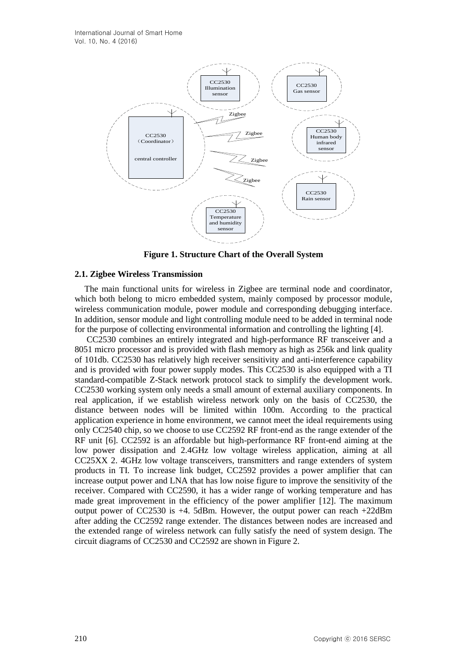

**Figure 1. Structure Chart of the Overall System**

#### **2.1. Zigbee Wireless Transmission**

The main functional units for wireless in Zigbee are terminal node and coordinator, which both belong to micro embedded system, mainly composed by processor module, wireless communication module, power module and corresponding debugging interface. In addition, sensor module and light controlling module need to be added in terminal node for the purpose of collecting environmental information and controlling the lighting [4].

Continuous<br>
Communisment and the effective control of the control of the control of the control of the strength of the control of the control of the control of the main functional units for wireless in Zigbee are cerminal CC2530 combines an entirely integrated and high-performance RF transceiver and a 8051 micro processor and is provided with flash memory as high as 256k and link quality of 101db. CC2530 has relatively high receiver sensitivity and anti-interference capability and is provided with four power supply modes. This CC2530 is also equipped with a TI standard-compatible Z-Stack network protocol stack to simplify the development work. CC2530 working system only needs a small amount of external auxiliary components. In real application, if we establish wireless network only on the basis of CC2530, the distance between nodes will be limited within 100m. According to the practical application experience in home environment, we cannot meet the ideal requirements using only CC2540 chip, so we choose to use CC2592 RF front-end as the range extender of the RF unit [6]. CC2592 is an affordable but high-performance RF front-end aiming at the low power dissipation and 2.4GHz low voltage wireless application, aiming at all CC25XX 2. 4GHz low voltage transceivers, transmitters and range extenders of system products in TI. To increase link budget, CC2592 provides a power amplifier that can increase output power and LNA that has low noise figure to improve the sensitivity of the receiver. Compared with CC2590, it has a wider range of working temperature and has made great improvement in the efficiency of the power amplifier [12]. The maximum output power of CC2530 is +4. 5dBm. However, the output power can reach +22dBm after adding the CC2592 range extender. The distances between nodes are increased and the extended range of wireless network can fully satisfy the need of system design. The circuit diagrams of CC2530 and CC2592 are shown in Figure 2.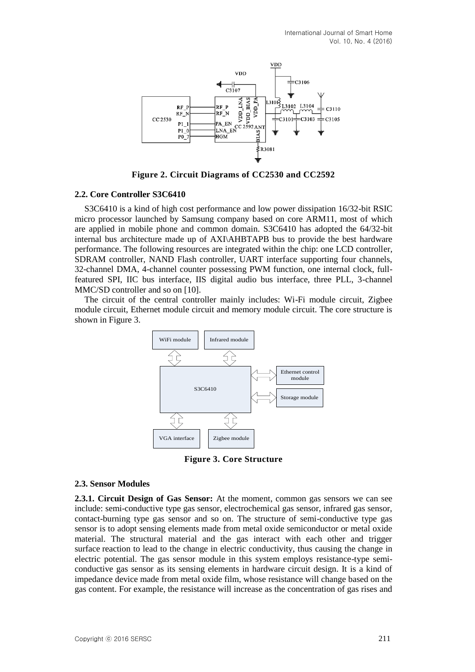

**Figure 2. Circuit Diagrams of CC2530 and CC2592**

#### **2.2. Core Controller S3C6410**

S3C6410 is a kind of high cost performance and low power dissipation 16/32-bit RSIC micro processor launched by Samsung company based on core ARM11, most of which are applied in mobile phone and common domain. S3C6410 has adopted the 64/32-bit internal bus architecture made up of AXI\AHBTAPB bus to provide the best hardware performance. The following resources are integrated within the chip: one LCD controller, SDRAM controller, NAND Flash controller, UART interface supporting four channels, 32-channel DMA, 4-channel counter possessing PWM function, one internal clock, fullfeatured SPI, IIC bus interface, IIS digital audio bus interface, three PLL, 3-channel MMC/SD controller and so on [10].

The circuit of the central controller mainly includes: Wi-Fi module circuit, Zigbee module circuit, Ethernet module circuit and memory module circuit. The core structure is shown in Figure 3.



**Figure 3. Core Structure**

#### **2.3. Sensor Modules**

**2.3.1. Circuit Design of Gas Sensor:** At the moment, common gas sensors we can see include: semi-conductive type gas sensor, electrochemical gas sensor, infrared gas sensor, contact-burning type gas sensor and so on. The structure of semi-conductive type gas sensor is to adopt sensing elements made from metal oxide semiconductor or metal oxide material. The structural material and the gas interact with each other and trigger [surface](../../AppData/Users/Administrator/AppData/Local/Yodao/DeskDict/frame/20151126185158/javascript:void(0);) [reaction](../../AppData/Users/Administrator/AppData/Local/Yodao/DeskDict/frame/20151126185158/javascript:void(0);) to lead to the change in electric conductivity, thus causing the change in electric potential. The gas sensor module in this system employs resistance-type semiconductive gas sensor as its sensing elements in hardware circuit design. It is a kind of impedance device made from metal oxide film, whose resistance will change based on the gas content. For example, the resistance will increase as the concentration of gas rises and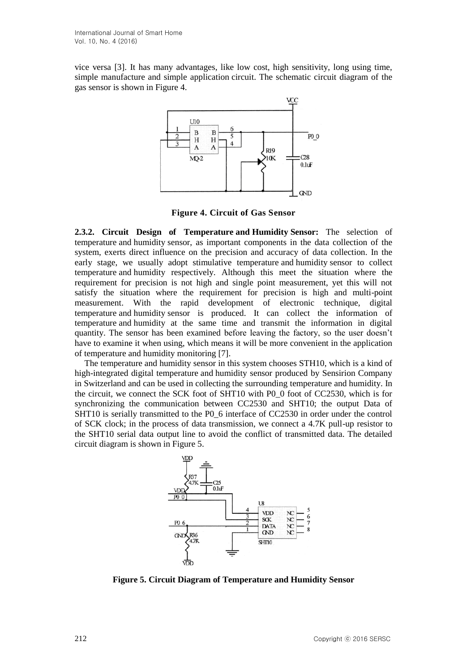vice versa [3]. It has many advantages, like low cost, high sensitivity, long using time, simple manufacture and simple [application](../../AppData/Users/Administrator/AppData/Local/Yodao/DeskDict/frame/20151126185158/javascript:void(0);) [circuit.](../../AppData/Users/Administrator/AppData/Local/Yodao/DeskDict/frame/20151126185158/javascript:void(0);) The schematic circuit diagram of the gas sensor is shown in Figure 4.



**Figure 4. Circuit of Gas Sensor**

**2.3.2. Circuit Design of [Temperature](../../AppData/Users/Administrator/AppData/Local/Yodao/DeskDict/frame/20151126185158/javascript:void(0);) [and](../../AppData/Users/Administrator/AppData/Local/Yodao/DeskDict/frame/20151126185158/javascript:void(0);) [Humidity](../../AppData/Users/Administrator/AppData/Local/Yodao/DeskDict/frame/20151126185158/javascript:void(0);) [Sensor:](../../AppData/Users/Administrator/AppData/Local/Yodao/DeskDict/frame/20151126185158/javascript:void(0);)** The selection of [temperature](../../AppData/Users/Administrator/AppData/Local/Yodao/DeskDict/frame/20151126185158/javascript:void(0);) [and](../../AppData/Users/Administrator/AppData/Local/Yodao/DeskDict/frame/20151126185158/javascript:void(0);) [humidity](../../AppData/Users/Administrator/AppData/Local/Yodao/DeskDict/frame/20151126185158/javascript:void(0);) [sensor,](../../AppData/Users/Administrator/AppData/Local/Yodao/DeskDict/frame/20151126185158/javascript:void(0);) as important components in the data collection of the system, exerts direct influence on the precision and accuracy of data collection. In the early stage, we usually adopt stimulative [temperature](../../AppData/Users/Administrator/AppData/Local/Yodao/DeskDict/frame/20151126185158/javascript:void(0);) [and](../../AppData/Users/Administrator/AppData/Local/Yodao/DeskDict/frame/20151126185158/javascript:void(0);) [humidity](../../AppData/Users/Administrator/AppData/Local/Yodao/DeskDict/frame/20151126185158/javascript:void(0);) [sensor](../../AppData/Users/Administrator/AppData/Local/Yodao/DeskDict/frame/20151126185158/javascript:void(0);) to collect [temperature](../../AppData/Users/Administrator/AppData/Local/Yodao/DeskDict/frame/20151126185158/javascript:void(0);) [and](../../AppData/Users/Administrator/AppData/Local/Yodao/DeskDict/frame/20151126185158/javascript:void(0);) [humidity](../../AppData/Users/Administrator/AppData/Local/Yodao/DeskDict/frame/20151126185158/javascript:void(0);) respectively. Although this meet the situation where the requirement for precision is not high and single point measurement, yet this will not satisfy the situation where the requirement for precision is high and multi-point measurement. With the rapid development of electronic technique, digital [temperature](../../AppData/Users/Administrator/AppData/Local/Yodao/DeskDict/frame/20151126185158/javascript:void(0);) [and](../../AppData/Users/Administrator/AppData/Local/Yodao/DeskDict/frame/20151126185158/javascript:void(0);) [humidity](../../AppData/Users/Administrator/AppData/Local/Yodao/DeskDict/frame/20151126185158/javascript:void(0);) [sensor](../../AppData/Users/Administrator/AppData/Local/Yodao/DeskDict/frame/20151126185158/javascript:void(0);) is produced. It can collect the information of [temperature](../../AppData/Users/Administrator/AppData/Local/Yodao/DeskDict/frame/20151126185158/javascript:void(0);) [and](../../AppData/Users/Administrator/AppData/Local/Yodao/DeskDict/frame/20151126185158/javascript:void(0);) [humidity](../../AppData/Users/Administrator/AppData/Local/Yodao/DeskDict/frame/20151126185158/javascript:void(0);) at the same time and transmit the information in digital quantity. The sensor has been examined before leaving the factory, so the user doesn't have to examine it when using, which means it will be more convenient in the application of [temperature](../../AppData/Users/Administrator/AppData/Local/Yodao/DeskDict/frame/20151126185158/javascript:void(0);) [and](../../AppData/Users/Administrator/AppData/Local/Yodao/DeskDict/frame/20151126185158/javascript:void(0);) [humidity](../../AppData/Users/Administrator/AppData/Local/Yodao/DeskDict/frame/20151126185158/javascript:void(0);) monitoring [7].

The [temperature](../../AppData/Users/Administrator/AppData/Local/Yodao/DeskDict/frame/20151126185158/javascript:void(0);) [and](../../AppData/Users/Administrator/AppData/Local/Yodao/DeskDict/frame/20151126185158/javascript:void(0);) [humidity](../../AppData/Users/Administrator/AppData/Local/Yodao/DeskDict/frame/20151126185158/javascript:void(0);) sensor in this system chooses STH10, which is a kind of high-integrated digital [temperature](../../AppData/Users/Administrator/AppData/Local/Yodao/DeskDict/frame/20151126185158/javascript:void(0);) [and](../../AppData/Users/Administrator/AppData/Local/Yodao/DeskDict/frame/20151126185158/javascript:void(0);) [humidity](../../AppData/Users/Administrator/AppData/Local/Yodao/DeskDict/frame/20151126185158/javascript:void(0);) sensor produced by Sensirion Company in Switzerland and can be used in collecting the surrounding [temperature](../../AppData/Users/Administrator/AppData/Local/Yodao/DeskDict/frame/20151126185158/javascript:void(0);) [and](../../AppData/Users/Administrator/AppData/Local/Yodao/DeskDict/frame/20151126185158/javascript:void(0);) [humidity.](../../AppData/Users/Administrator/AppData/Local/Yodao/DeskDict/frame/20151126185158/javascript:void(0);) In the circuit, we connect the SCK foot of SHT10 with P0\_0 foot of CC2530, which is for synchronizing the communication between CC2530 and SHT10; the output Data of SHT10 is serially transmitted to the P0\_6 interface of CC2530 in order under the control of SCK clock; in the process of data transmission, we connect a 4.7K pull-up resistor to the SHT10 serial data output line to avoid the conflict of transmitted data. The detailed circuit diagram is shown in Figure 5.



**Figure 5. Circuit Diagram of Temperature and Humidity Sensor**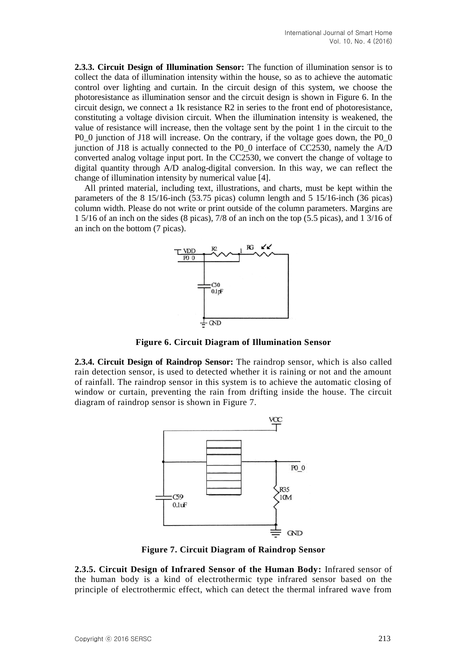**2.3.3. Circuit Design of Illumination Sensor:** The function of illumination sensor is to collect the data of [illumination](../../AppData/Users/Administrator/AppData/Local/Yodao/DeskDict/frame/20151126185158/javascript:void(0);) [intensity](../../AppData/Users/Administrator/AppData/Local/Yodao/DeskDict/frame/20151126185158/javascript:void(0);) within the house, so as to achieve the automatic control over lighting and curtain. In the circuit design of this system, we choose the photoresistance as illumination sensor and the circuit design is shown in Figure 6. In the circuit design, we connect a 1k resistance R2 in series to the [front](../../AppData/Users/Administrator/AppData/Local/Yodao/DeskDict/frame/20151126185158/javascript:void(0);) [end](../../AppData/Users/Administrator/AppData/Local/Yodao/DeskDict/frame/20151126185158/javascript:void(0);) of photoresistance, constituting a voltage division circuit. When the [illumination](../../AppData/Users/Administrator/AppData/Local/Yodao/DeskDict/frame/20151126185158/javascript:void(0);) [intensity](../../AppData/Users/Administrator/AppData/Local/Yodao/DeskDict/frame/20151126185158/javascript:void(0);) is weakened, the value of resistance will increase, then the voltage sent by the point 1 in the circuit to the P0\_0 junction of J18 will increase. On the contrary, if the voltage goes down, the P0\_0 junction of J18 is actually connected to the P0\_0 interface of CC2530, namely the A/D converted analog voltage [input](../../AppData/Users/Administrator/AppData/Local/Yodao/DeskDict/frame/20151126185158/javascript:void(0);) [port.](../../AppData/Users/Administrator/AppData/Local/Yodao/DeskDict/frame/20151126185158/javascript:void(0);) In the CC2530, we convert the change of voltage to digital quantity through A/D analog-digital conversion. In this way, we can reflect the change of [illumination](../../AppData/Users/Administrator/AppData/Local/Yodao/DeskDict/frame/20151126185158/javascript:void(0);) [intensity](../../AppData/Users/Administrator/AppData/Local/Yodao/DeskDict/frame/20151126185158/javascript:void(0);) by numerical value [4].

All printed material, including text, illustrations, and charts, must be kept within the parameters of the 8 15/16-inch (53.75 picas) column length and 5 15/16-inch (36 picas) column width. Please do not write or print outside of the column parameters. Margins are 1 5/16 of an inch on the sides (8 picas), 7/8 of an inch on the top (5.5 picas), and 1 3/16 of an inch on the bottom (7 picas).



**Figure 6. Circuit Diagram of Illumination Sensor**

**2.3.4. Circuit Design of Raindrop Sensor:** The raindrop sensor, which is also called rain detection sensor, is used to detected whether it is raining or not and the amount of rainfall. The raindrop sensor in this system is to achieve the automatic closing of window or curtain, preventing the rain from drifting inside the house. The circuit diagram of raindrop sensor is shown in Figure 7.



**Figure 7. Circuit Diagram of Raindrop Sensor**

**2.3.5. Circuit Design of Infrared Sensor of the Human Body:** Infrared sensor of the human body is a kind of electrothermic type infrared sensor based on the principle of electrothermic effect, which can detect the thermal infrared wave from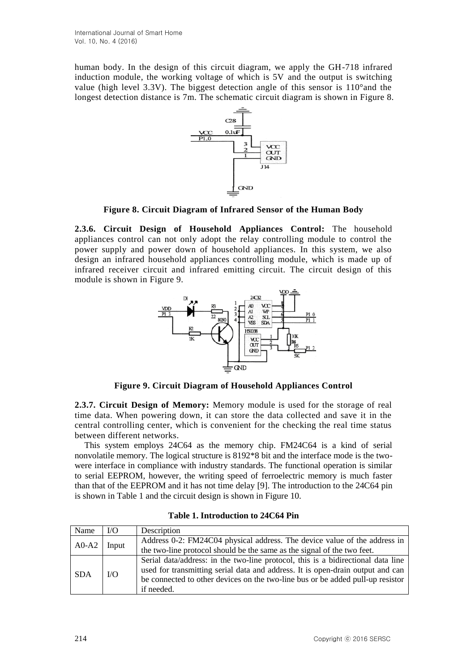human body. In the design of this circuit diagram, we apply the GH-718 infrared induction module, the working voltage of which is 5V and the output is switching value (high level 3.3V). The biggest detection angle of this sensor is 110°and the longest detection distance is 7m. The schematic circuit diagram is shown in Figure 8.



**Figure 8. Circuit Diagram of Infrared Sensor of the Human Body**

**2.3.6. Circuit Design of Household Appliances Control:** The household appliances control can not only adopt the relay controlling module to control the power supply and power down of household appliances. In this system, we also design an infrared household appliances controlling module, which is made up of infrared receiver circuit and infrared emitting circuit. The circuit design of this module is shown in Figure 9.



**Figure 9. Circuit Diagram of Household Appliances Control**

**2.3.7. Circuit Design of Memory:** Memory module is used for the storage of real time data. When powering down, it can store the data collected and save it in the central controlling center, which is convenient for the checking the real time status between different networks.

This system employs 24C64 as the memory chip. FM24C64 is a kind of serial nonvolatile memory. The logical structure is 8192\*8 bit and the interface mode is the twowere interface in compliance with industry standards. The functional operation is similar to serial EEPROM, however, the writing speed of ferroelectric memory is much faster than that of the EEPROM and it has not time delay [9]. The introduction to the 24C64 pin is shown in Table 1 and the circuit design is shown in Figure 10.

| Name       | $\rm LO$ | Description                                                                                                                                                                                                                                                        |
|------------|----------|--------------------------------------------------------------------------------------------------------------------------------------------------------------------------------------------------------------------------------------------------------------------|
| $A0-A2$    | Input    | Address 0-2: FM24C04 physical address. The device value of the address in                                                                                                                                                                                          |
|            |          | the two-line protocol should be the same as the signal of the two feet.                                                                                                                                                                                            |
| <b>SDA</b> | I/O      | Serial data/address: in the two-line protocol, this is a bidirectional data line<br>used for transmitting serial data and address. It is open-drain output and can<br>be connected to other devices on the two-line bus or be added pull-up resistor<br>if needed. |

|  | Table 1. Introduction to 24C64 Pin |  |
|--|------------------------------------|--|
|--|------------------------------------|--|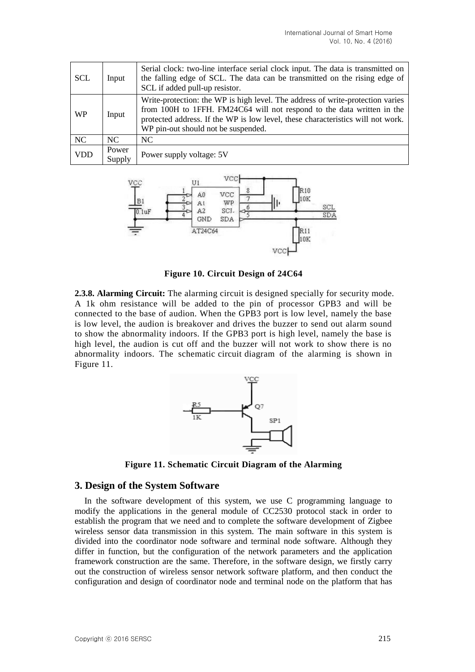| <b>SCL</b> | Input           | Serial clock: two-line interface serial clock input. The data is transmitted on<br>the falling edge of SCL. The data can be transmitted on the rising edge of<br>SCL if added pull-up resistor.                                                                                    |
|------------|-----------------|------------------------------------------------------------------------------------------------------------------------------------------------------------------------------------------------------------------------------------------------------------------------------------|
| <b>WP</b>  | Input           | Write-protection: the WP is high level. The address of write-protection varies<br>from 100H to 1FFH. FM24C64 will not respond to the data written in the<br>protected address. If the WP is low level, these characteristics will not work.<br>WP pin-out should not be suspended. |
| NC         | NC              | NC                                                                                                                                                                                                                                                                                 |
| <b>VDD</b> | Power<br>Supply | Power supply voltage: 5V                                                                                                                                                                                                                                                           |



**Figure 10. Circuit Design of 24C64**

**2.3.8. Alarming Circuit:** The alarming circuit is designed specially for security mode. A 1k ohm resistance will be added to the pin of processor GPB3 and will be connected to the base of audion. When the GPB3 port is low level, namely the base is low level, the audion is breakover and drives the buzzer to send out alarm sound to show the abnormality indoors. If the GPB3 port is high level, namely the base is high level, the audion is cut off and the buzzer will not work to show there is no abnormality indoors. The [schematic](../../AppData/Users/Administrator/AppData/Local/Yodao/DeskDict/frame/20151201184616/javascript:void(0);) [circuit](../../AppData/Users/Administrator/AppData/Local/Yodao/DeskDict/frame/20151201184616/javascript:void(0);) [diagram](../../AppData/Users/Administrator/AppData/Local/Yodao/DeskDict/frame/20151201184616/javascript:void(0);) of the alarming is shown in Figure 11.



**Figure 11. [Schematic](../../AppData/Users/Administrator/AppData/Local/Yodao/DeskDict/frame/20151201184616/javascript:void(0);) [Circuit](../../AppData/Users/Administrator/AppData/Local/Yodao/DeskDict/frame/20151201184616/javascript:void(0);) [Diagram](../../AppData/Users/Administrator/AppData/Local/Yodao/DeskDict/frame/20151201184616/javascript:void(0);) of the Alarming**

### **3. Design of the System Software**

In the software development of this system, we use C programming language to modify the applications in the general module of CC2530 protocol stack in order to establish the program that we need and to complete the software development of Zigbee wireless sensor data transmission in this system. The main software in this system is divided into the coordinator node software and terminal node software. Although they differ in function, but the configuration of the network parameters and the application framework construction are the same. Therefore, in the software design, we firstly carry out the construction of wireless sensor network software platform, and then conduct the configuration and design of coordinator node and terminal node on the platform that has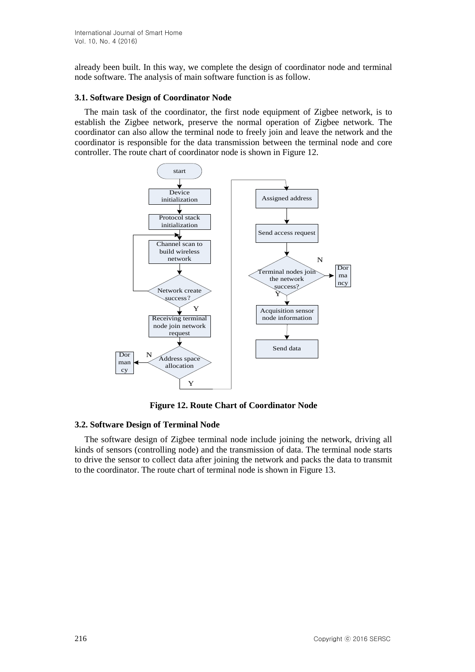already been built. In this way, we complete the design of coordinator node and terminal node software. The analysis of main software function is as follow.

### **3.1. Software Design of Coordinator Node**

The main task of the coordinator, the first node equipment of Zigbee network, is to establish the Zigbee network, preserve the normal operation of Zigbee network. The coordinator can also allow the terminal node to freely join and leave the network and the coordinator is responsible for the data transmission between the terminal node and core controller. The route chart of coordinator node is shown in Figure 12.



**Figure 12. Route Chart of Coordinator Node**

### **3.2. Software Design of Terminal Node**

The software design of Zigbee terminal node include joining the network, driving all kinds of sensors (controlling node) and the transmission of data. The terminal node starts to drive the sensor to collect data after joining the network and packs the data to transmit to the coordinator. The route chart of terminal node is shown in Figure 13.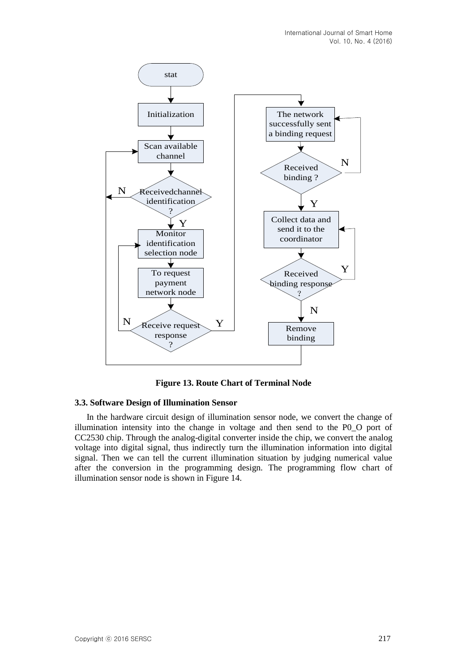

**Figure 13. Route Chart of Terminal Node**

#### **3.3. Software Design of Illumination Sensor**

In the hardware circuit design of illumination sensor node, we convert the change of illumination intensity into the change in voltage and then send to the P0\_O port of CC2530 chip. Through the analog-digital converter inside the chip, we convert the analog voltage into digital signal, thus indirectly turn the illumination information into digital signal. Then we can tell the current illumination situation by judging numerical value after the conversion in the programming design. The programming flow chart of illumination sensor node is shown in Figure 14.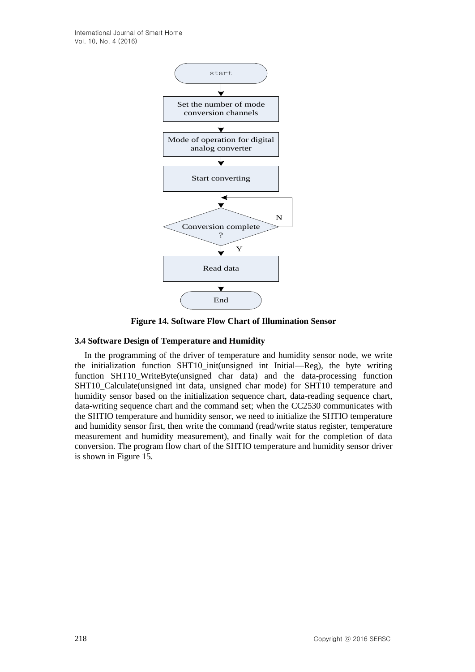

**Figure 14. Software Flow Chart of Illumination Sensor**

#### **3.4 Software Design of Temperature and Humidity**

In the programming of the driver of temperature and humidity sensor node, we write the initialization function SHT10\_init(unsigned int Initial—Reg), the byte writing function SHT10\_WriteByte(unsigned char data) and the data-processing function SHT10\_Calculate(unsigned int data, unsigned char mode) for SHT10 temperature and humidity sensor based on the initialization sequence chart, data-reading sequence chart, data-writing sequence chart and the command set; when the CC2530 communicates with the SHTIO temperature and humidity sensor, we need to initialize the SHTIO temperature and humidity sensor first, then write the command (read/write status register, temperature measurement and humidity measurement), and finally wait for the completion of data conversion. The program flow chart of the SHTIO temperature and humidity sensor driver is shown in Figure 15.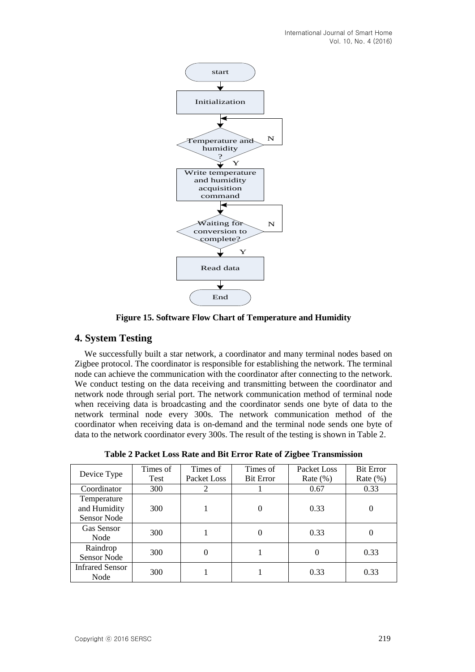

**Figure 15. Software Flow Chart of Temperature and Humidity**

### **4. System Testing**

We successfully built a star network, a coordinator and many terminal nodes based on Zigbee protocol. The coordinator is responsible for establishing the network. The terminal node can achieve the communication with the coordinator after connecting to the network. We conduct testing on the data receiving and transmitting between the coordinator and network node through serial port. The network communication method of terminal node when receiving data is broadcasting and the coordinator sends one byte of data to the network terminal node every 300s. The network communication method of the coordinator when receiving data is on-demand and the terminal node sends one byte of data to the network coordinator every 300s. The result of the testing is shown in Table 2.

| Device Type                                | Times of<br>Test | Times of<br>Packet Loss | Times of<br><b>Bit Error</b> | Packet Loss<br>Rate $(\%)$ | <b>Bit Error</b><br>Rate $(\%)$ |
|--------------------------------------------|------------------|-------------------------|------------------------------|----------------------------|---------------------------------|
| Coordinator                                | <b>300</b>       | 2                       |                              | 0.67                       | 0.33                            |
| Temperature<br>and Humidity<br>Sensor Node | 300              |                         | $\Omega$                     | 0.33                       |                                 |
| <b>Gas Sensor</b><br>Node                  | 300              |                         | $\Omega$                     | 0.33                       |                                 |
| Raindrop<br>Sensor Node                    | 300              | 0                       |                              | 0                          | 0.33                            |
| <b>Infrared Sensor</b><br>Node             | 300              |                         |                              | 0.33                       | 0.33                            |

**Table 2 Packet Loss Rate and Bit Error Rate of Zigbee Transmission**